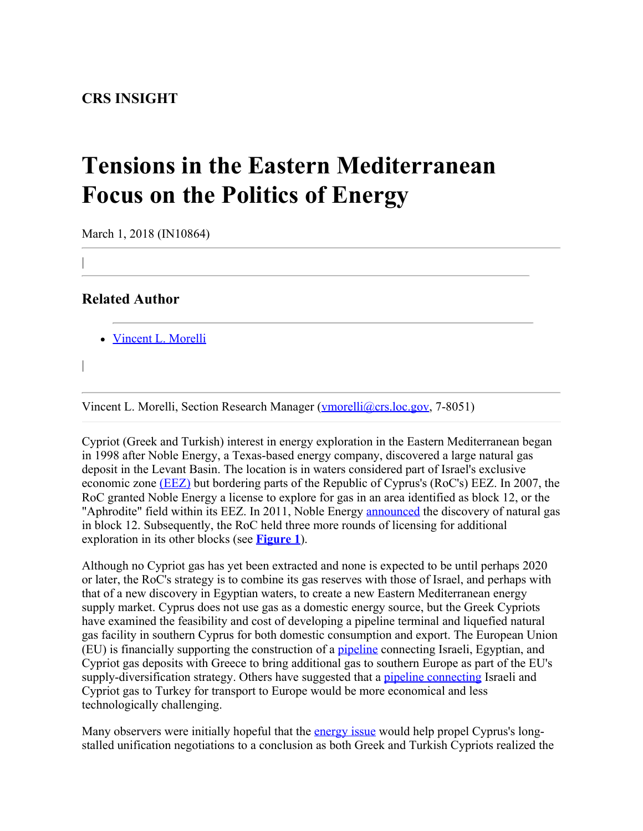## **CRS INSIGHT**

## **Tensions in the Eastern Mediterranean Focus on the Politics of Energy**

March 1, 2018 (IN10864)

**Related Author**

|

|

 $\overline{1}$ 

[Vincent L. Morelli](http://www.crs.gov/Author/index?id=100790)

Vincent L. Morelli, Section Research Manager [\(vmorelli@crs.loc.gov,](mailto:vmorelli@crs.loc.gov) 7-8051)

Cypriot (Greek and Turkish) interest in energy exploration in the Eastern Mediterranean began in 1998 after Noble Energy, a Texas-based energy company, discovered a large natural gas deposit in the Levant Basin. The location is in waters considered part of Israel's exclusive economic zone [\(EEZ\)](http://www.un.org/depts/los/convention_agreements/texts/unclos/part5.htm) but bordering parts of the Republic of Cyprus's (RoC's) EEZ. In 2007, the RoC granted Noble Energy a license to explore for gas in an area identified as block 12, or the "Aphrodite" field within its EEZ. In 2011, Noble Energy [announced](http://investors.nblenergy.com/releasedetail.cfm?releaseid=635912) the discovery of natural gas in block 12. Subsequently, the RoC held three more rounds of licensing for additional exploration in its other blocks (see **[Figure 1](http://www.crs.gov/Reports/IN10864?source=INLanding#_Ref507681053)**).

Although no Cypriot gas has yet been extracted and none is expected to be until perhaps 2020 or later, the RoC's strategy is to combine its gas reserves with those of Israel, and perhaps with that of a new discovery in Egyptian waters, to create a new Eastern Mediterranean energy supply market. Cyprus does not use gas as a domestic energy source, but the Greek Cypriots have examined the feasibility and cost of developing a pipeline terminal and liquefied natural gas facility in southern Cyprus for both domestic consumption and export. The European Union (EU) is financially supporting the construction of a [pipeline](https://energy.economictimes.indiatimes.com/news/oil-and-gas/greece-italy-israel-and-cyprus-back-natural-gas-pipeline-to-europe/61934633) connecting Israeli, Egyptian, and Cypriot gas deposits with Greece to bring additional gas to southern Europe as part of the EU's supply-diversification strategy. Others have suggested that a [pipeline connecting](https://www.dailysabah.com/energy/2015/08/15/israels-offshore-gas-deal-may-boost-pipeline-project-via-turkey) Israeli and Cypriot gas to Turkey for transport to Europe would be more economical and less technologically challenging.

Many observers were initially hopeful that the [energy issue](https://www.cnbc.com/2017/01/06/a-multibillion-dollar-natural-gas-boom-may-reunify-cyprus.html) would help propel Cyprus's longstalled unification negotiations to a conclusion as both Greek and Turkish Cypriots realized the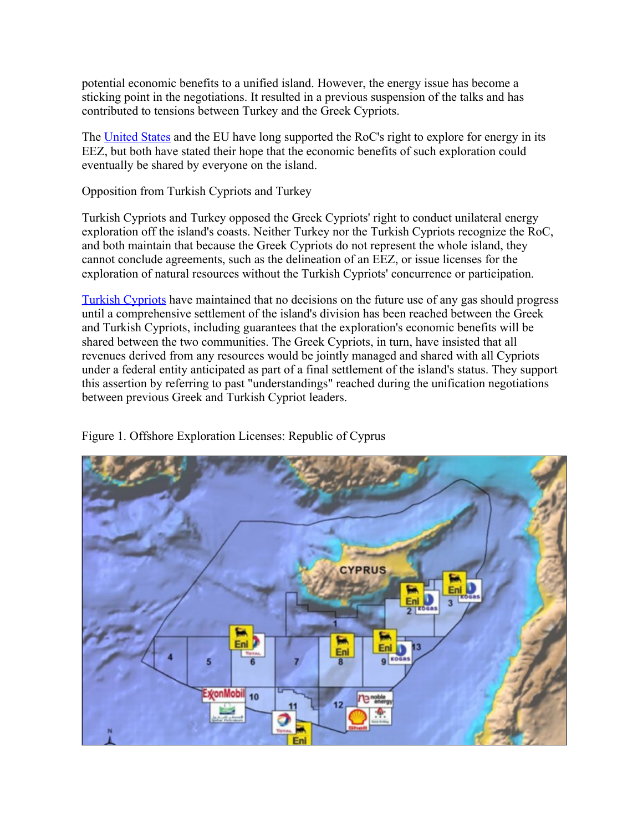potential economic benefits to a unified island. However, the energy issue has become a sticking point in the negotiations. It resulted in a previous suspension of the talks and has contributed to tensions between Turkey and the Greek Cypriots.

The [United States](http://famagusta-gazette.com/state-department-reiterates-recognition-of-cyprus-right-to-develop-resourc-p26296-69.htm) and the EU have long supported the RoC's right to explore for energy in its EEZ, but both have stated their hope that the economic benefits of such exploration could eventually be shared by everyone on the island.

Opposition from Turkish Cypriots and Turkey

Turkish Cypriots and Turkey opposed the Greek Cypriots' right to conduct unilateral energy exploration off the island's coasts. Neither Turkey nor the Turkish Cypriots recognize the RoC, and both maintain that because the Greek Cypriots do not represent the whole island, they cannot conclude agreements, such as the delineation of an EEZ, or issue licenses for the exploration of natural resources without the Turkish Cypriots' concurrence or participation.

[Turkish Cypriots](https://www.yenisafak.com/en/world/turkish-cypriots-must-be-part-of-drilling-decisions-3135389) have maintained that no decisions on the future use of any gas should progress until a comprehensive settlement of the island's division has been reached between the Greek and Turkish Cypriots, including guarantees that the exploration's economic benefits will be shared between the two communities. The Greek Cypriots, in turn, have insisted that all revenues derived from any resources would be jointly managed and shared with all Cypriots under a federal entity anticipated as part of a final settlement of the island's status. They support this assertion by referring to past "understandings" reached during the unification negotiations between previous Greek and Turkish Cypriot leaders.



Figure 1. Offshore Exploration Licenses: Republic of Cyprus